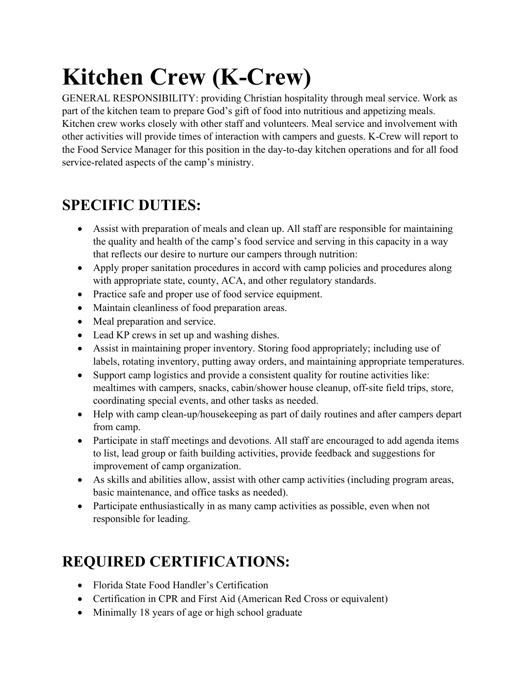# **Kitchen Crew (K-Crew)**

GENERAL RESPONSIBILITY: providing Christian hospitality through meal service. Work as part of the kitchen team to prepare God's gift of food into nutritious and appetizing meals. Kitchen crew works closely with other staff and volunteers. Meal service and involvement with other activities will provide times of interaction with campers and guests. K-Crew will report to the Food Service Manager for this position in the day-to-day kitchen operations and for all food service-related aspects of the camp's ministry.

## **SPECIFIC DUTIES:**

- Assist with preparation of meals and clean up. All staff are responsible for maintaining the quality and health of the camp's food service and serving in this capacity in a way that reflects our desire to nurture our campers through nutrition:
- Apply proper sanitation procedures in accord with camp policies and procedures along with appropriate state, county, ACA, and other regulatory standards.
- Practice safe and proper use of food service equipment.
- Maintain cleanliness of food preparation areas.
- Meal preparation and service.
- Lead KP crews in set up and washing dishes.
- Assist in maintaining proper inventory. Storing food appropriately; including use of labels, rotating inventory, putting away orders, and maintaining appropriate temperatures.
- Support camp logistics and provide a consistent quality for routine activities like: mealtimes with campers, snacks, cabin/shower house cleanup, off-site field trips, store, coordinating special events, and other tasks as needed.
- Help with camp clean-up/housekeeping as part of daily routines and after campers depart from camp.
- Participate in staff meetings and devotions. All staff are encouraged to add agenda items to list, lead group or faith building activities, provide feedback and suggestions for improvement of camp organization.
- As skills and abilities allow, assist with other camp activities (including program areas, basic maintenance, and office tasks as needed).
- Participate enthusiastically in as many camp activities as possible, even when not responsible for leading.

## **REQUIRED CERTIFICATIONS:**

- Florida State Food Handler's Certification
- Certification in CPR and First Aid (American Red Cross or equivalent)
- Minimally 18 years of age or high school graduate